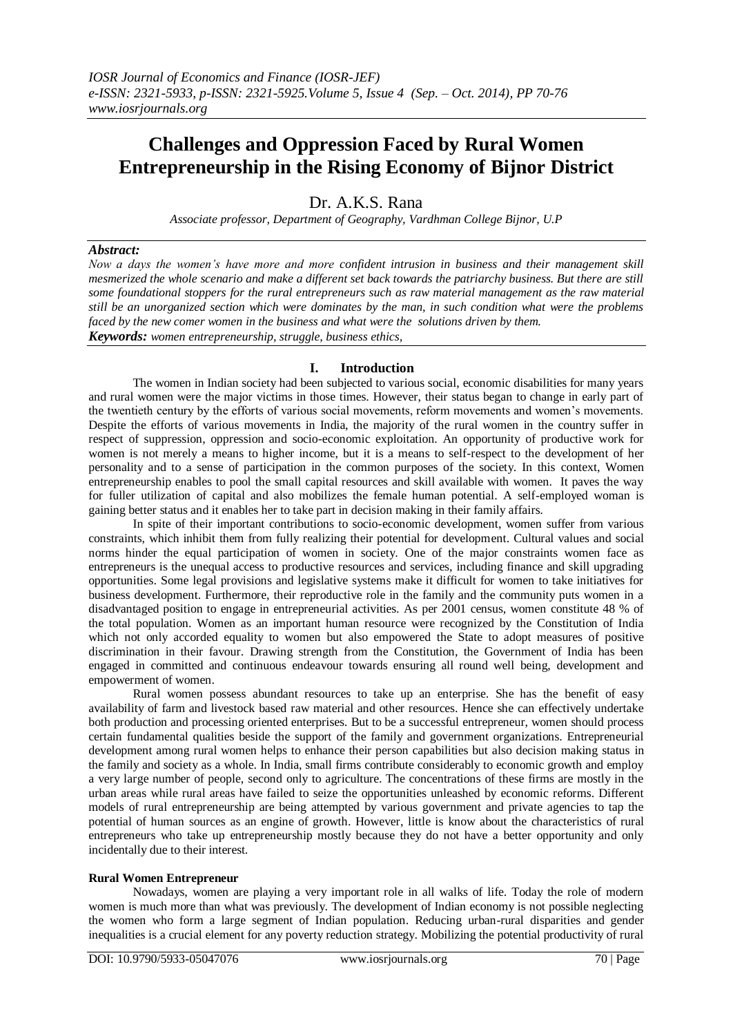# **Challenges and Oppression Faced by Rural Women Entrepreneurship in the Rising Economy of Bijnor District**

Dr. A.K.S. Rana

*Associate professor, Department of Geography, Vardhman College Bijnor, U.P*

#### *Abstract:*

*Now a days the women's have more and more confident intrusion in business and their management skill mesmerized the whole scenario and make a different set back towards the patriarchy business. But there are still some foundational stoppers for the rural entrepreneurs such as raw material management as the raw material still be an unorganized section which were dominates by the man, in such condition what were the problems faced by the new comer women in the business and what were the solutions driven by them. Keywords: women entrepreneurship, struggle, business ethics,* 

## **I. Introduction**

The women in Indian society had been subjected to various social, economic disabilities for many years and rural women were the major victims in those times. However, their status began to change in early part of the twentieth century by the efforts of various social movements, reform movements and women's movements. Despite the efforts of various movements in India, the majority of the rural women in the country suffer in respect of suppression, oppression and socio-economic exploitation. An opportunity of productive work for women is not merely a means to higher income, but it is a means to self-respect to the development of her personality and to a sense of participation in the common purposes of the society. In this context, Women entrepreneurship enables to pool the small capital resources and skill available with women. It paves the way for fuller utilization of capital and also mobilizes the female human potential. A self-employed woman is gaining better status and it enables her to take part in decision making in their family affairs.

In spite of their important contributions to socio-economic development, women suffer from various constraints, which inhibit them from fully realizing their potential for development. Cultural values and social norms hinder the equal participation of women in society. One of the major constraints women face as entrepreneurs is the unequal access to productive resources and services, including finance and skill upgrading opportunities. Some legal provisions and legislative systems make it difficult for women to take initiatives for business development. Furthermore, their reproductive role in the family and the community puts women in a disadvantaged position to engage in entrepreneurial activities. As per 2001 census, women constitute 48 % of the total population. Women as an important human resource were recognized by the Constitution of India which not only accorded equality to women but also empowered the State to adopt measures of positive discrimination in their favour. Drawing strength from the Constitution, the Government of India has been engaged in committed and continuous endeavour towards ensuring all round well being, development and empowerment of women.

Rural women possess abundant resources to take up an enterprise. She has the benefit of easy availability of farm and livestock based raw material and other resources. Hence she can effectively undertake both production and processing oriented enterprises. But to be a successful entrepreneur, women should process certain fundamental qualities beside the support of the family and government organizations. Entrepreneurial development among rural women helps to enhance their person capabilities but also decision making status in the family and society as a whole. In India, small firms contribute considerably to economic growth and employ a very large number of people, second only to agriculture. The concentrations of these firms are mostly in the urban areas while rural areas have failed to seize the opportunities unleashed by economic reforms. Different models of rural entrepreneurship are being attempted by various government and private agencies to tap the potential of human sources as an engine of growth. However, little is know about the characteristics of rural entrepreneurs who take up entrepreneurship mostly because they do not have a better opportunity and only incidentally due to their interest.

#### **Rural Women Entrepreneur**

Nowadays, women are playing a very important role in all walks of life. Today the role of modern women is much more than what was previously. The development of Indian economy is not possible neglecting the women who form a large segment of Indian population. Reducing urban-rural disparities and gender inequalities is a crucial element for any poverty reduction strategy. Mobilizing the potential productivity of rural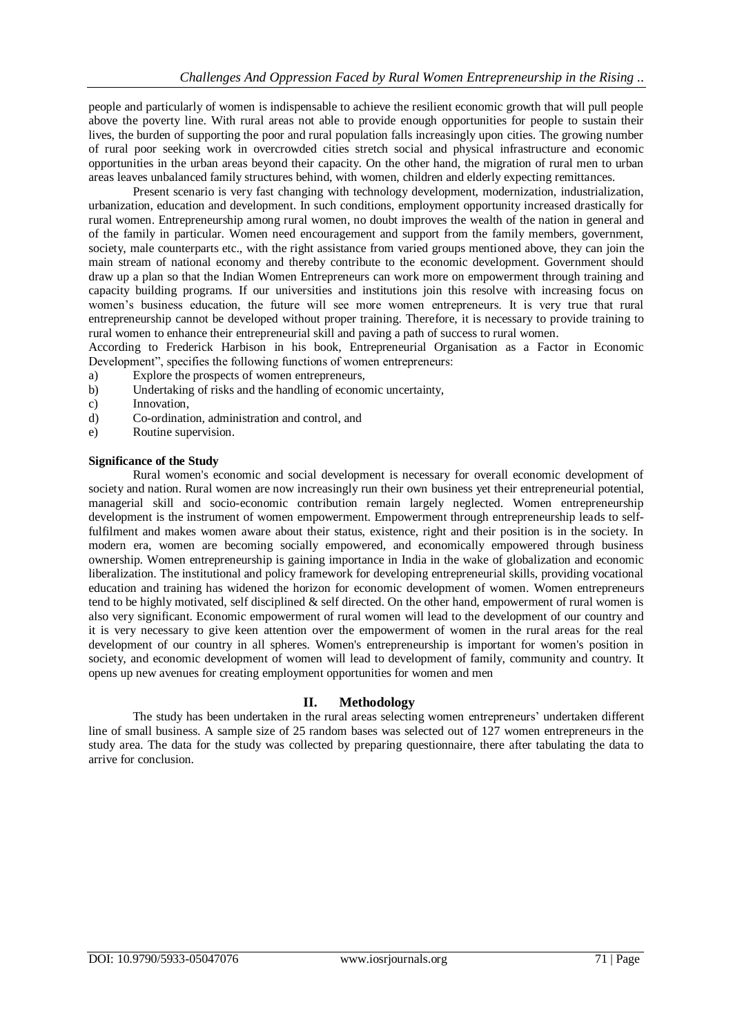people and particularly of women is indispensable to achieve the resilient economic growth that will pull people above the poverty line. With rural areas not able to provide enough opportunities for people to sustain their lives, the burden of supporting the poor and rural population falls increasingly upon cities. The growing number of rural poor seeking work in overcrowded cities stretch social and physical infrastructure and economic opportunities in the urban areas beyond their capacity. On the other hand, the migration of rural men to urban areas leaves unbalanced family structures behind, with women, children and elderly expecting remittances.

Present scenario is very fast changing with technology development, modernization, industrialization, urbanization, education and development. In such conditions, employment opportunity increased drastically for rural women. Entrepreneurship among rural women, no doubt improves the wealth of the nation in general and of the family in particular. Women need encouragement and support from the family members, government, society, male counterparts etc., with the right assistance from varied groups mentioned above, they can join the main stream of national economy and thereby contribute to the economic development. Government should draw up a plan so that the Indian Women Entrepreneurs can work more on empowerment through training and capacity building programs. If our universities and institutions join this resolve with increasing focus on women's business education, the future will see more women entrepreneurs. It is very true that rural entrepreneurship cannot be developed without proper training. Therefore, it is necessary to provide training to rural women to enhance their entrepreneurial skill and paving a path of success to rural women.

According to Frederick Harbison in his book, Entrepreneurial Organisation as a Factor in Economic Development", specifies the following functions of women entrepreneurs:

- a) Explore the prospects of women entrepreneurs,
- b) Undertaking of risks and the handling of economic uncertainty,
- c) Innovation,
- d) Co-ordination, administration and control, and
- e) Routine supervision.

#### **Significance of the Study**

Rural women's economic and social development is necessary for overall economic development of society and nation. Rural women are now increasingly run their own business yet their entrepreneurial potential, managerial skill and socio-economic contribution remain largely neglected. Women entrepreneurship development is the instrument of women empowerment. Empowerment through entrepreneurship leads to selffulfilment and makes women aware about their status, existence, right and their position is in the society. In modern era, women are becoming socially empowered, and economically empowered through business ownership. Women entrepreneurship is gaining importance in India in the wake of globalization and economic liberalization. The institutional and policy framework for developing entrepreneurial skills, providing vocational education and training has widened the horizon for economic development of women. Women entrepreneurs tend to be highly motivated, self disciplined & self directed. On the other hand, empowerment of rural women is also very significant. Economic empowerment of rural women will lead to the development of our country and it is very necessary to give keen attention over the empowerment of women in the rural areas for the real development of our country in all spheres. Women's entrepreneurship is important for women's position in society, and economic development of women will lead to development of family, community and country. It opens up new avenues for creating employment opportunities for women and men

# **II. Methodology**

The study has been undertaken in the rural areas selecting women entrepreneurs' undertaken different line of small business. A sample size of 25 random bases was selected out of 127 women entrepreneurs in the study area. The data for the study was collected by preparing questionnaire, there after tabulating the data to arrive for conclusion.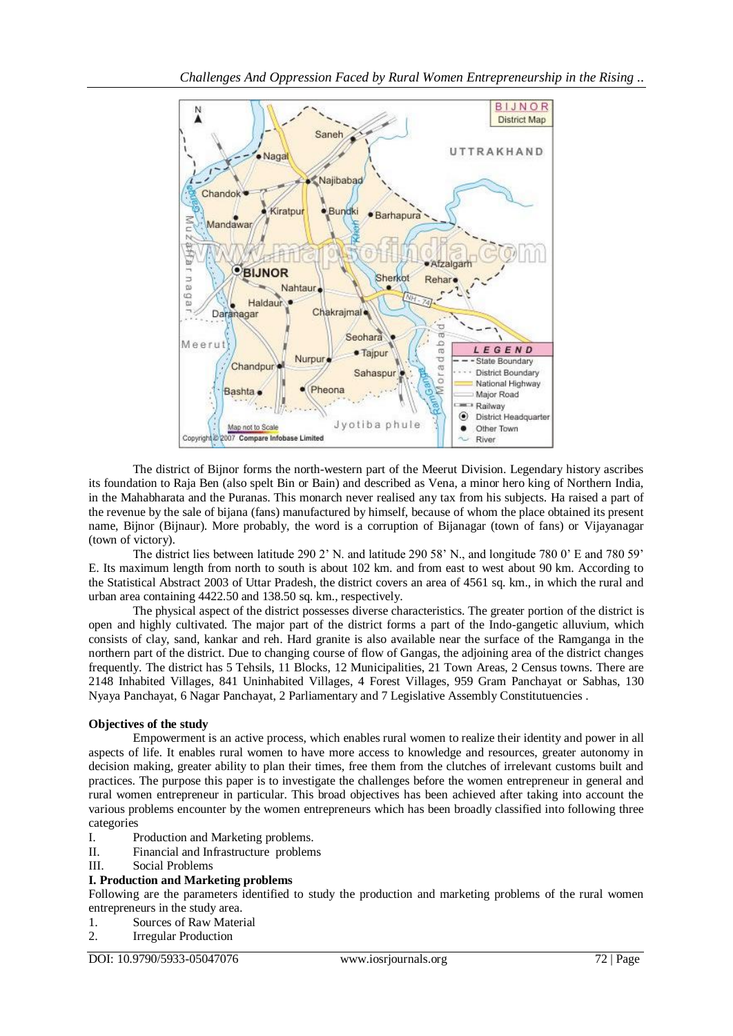

The district of Bijnor forms the north-western part of the Meerut Division. Legendary history ascribes its foundation to Raja Ben (also spelt Bin or Bain) and described as Vena, a minor hero king of Northern India, in the Mahabharata and the Puranas. This monarch never realised any tax from his subjects. Ha raised a part of the revenue by the sale of bijana (fans) manufactured by himself, because of whom the place obtained its present name, Bijnor (Bijnaur). More probably, the word is a corruption of Bijanagar (town of fans) or Vijayanagar (town of victory).

The district lies between latitude 290 2' N. and latitude 290 58' N., and longitude 780 0' E and 780 59' E. Its maximum length from north to south is about 102 km. and from east to west about 90 km. According to the Statistical Abstract 2003 of Uttar Pradesh, the district covers an area of 4561 sq. km., in which the rural and urban area containing 4422.50 and 138.50 sq. km., respectively.

The physical aspect of the district possesses diverse characteristics. The greater portion of the district is open and highly cultivated. The major part of the district forms a part of the Indo-gangetic alluvium, which consists of clay, sand, kankar and reh. Hard granite is also available near the surface of the Ramganga in the northern part of the district. Due to changing course of flow of Gangas, the adjoining area of the district changes frequently. The district has 5 Tehsils, 11 Blocks, 12 Municipalities, 21 Town Areas, 2 Census towns. There are 2148 Inhabited Villages, 841 Uninhabited Villages, 4 Forest Villages, 959 Gram Panchayat or Sabhas, 130 Nyaya Panchayat, 6 Nagar Panchayat, 2 Parliamentary and 7 Legislative Assembly Constitutuencies .

# **Objectives of the study**

Empowerment is an active process, which enables rural women to realize their identity and power in all aspects of life. It enables rural women to have more access to knowledge and resources, greater autonomy in decision making, greater ability to plan their times, free them from the clutches of irrelevant customs built and practices. The purpose this paper is to investigate the challenges before the women entrepreneur in general and rural women entrepreneur in particular. This broad objectives has been achieved after taking into account the various problems encounter by the women entrepreneurs which has been broadly classified into following three categories

- I. Production and Marketing problems.
- II. Financial and Infrastructure problems
- III. Social Problems

# **I. Production and Marketing problems**

Following are the parameters identified to study the production and marketing problems of the rural women entrepreneurs in the study area.

- 1. Sources of Raw Material
- 2. Irregular Production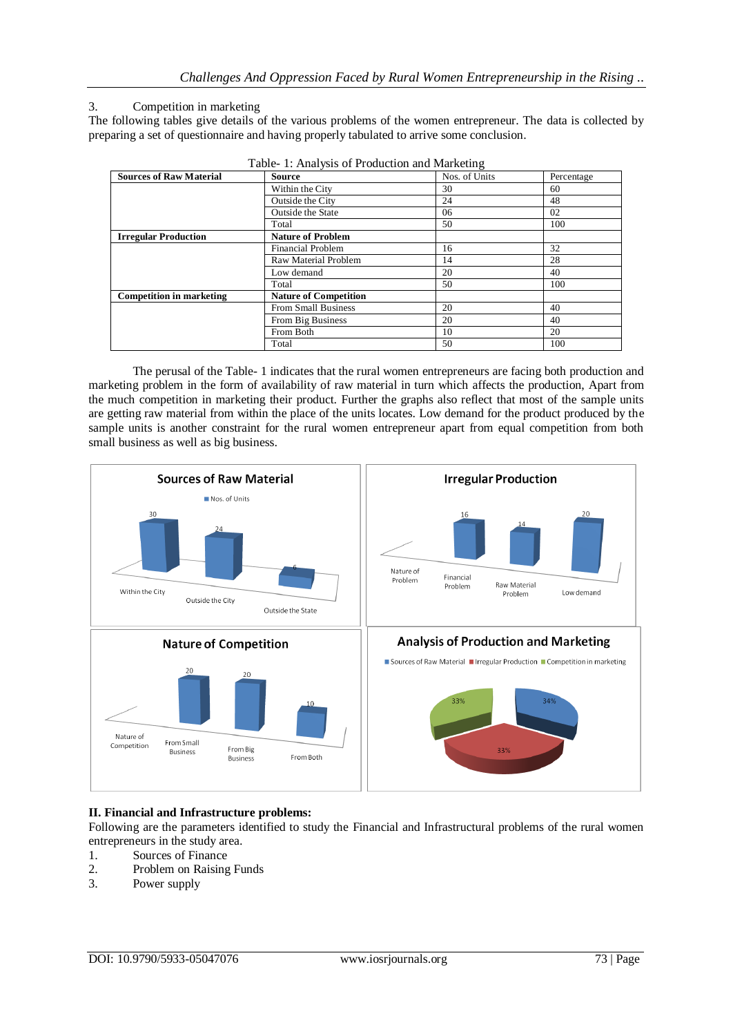## 3. Competition in marketing

The following tables give details of the various problems of the women entrepreneur. The data is collected by preparing a set of questionnaire and having properly tabulated to arrive some conclusion.

|                                 | Twore 1. Thin you of Fromation and Marketing |               |            |
|---------------------------------|----------------------------------------------|---------------|------------|
| <b>Sources of Raw Material</b>  | <b>Source</b>                                | Nos. of Units | Percentage |
|                                 | Within the City                              | 30            | 60         |
|                                 | Outside the City                             | 24            | 48         |
|                                 | <b>Outside the State</b>                     | 06            | 02         |
|                                 | Total                                        | 50            | 100        |
| <b>Irregular Production</b>     | <b>Nature of Problem</b>                     |               |            |
|                                 | Financial Problem                            | 16            | 32         |
|                                 | Raw Material Problem                         | 14            | 28         |
|                                 | Low demand                                   | 20            | 40         |
|                                 | Total                                        | 50            | 100        |
| <b>Competition in marketing</b> | <b>Nature of Competition</b>                 |               |            |
|                                 | <b>From Small Business</b>                   | 20            | 40         |
|                                 | From Big Business                            | 20            | 40         |
|                                 | From Both                                    | 10            | 20         |
|                                 | Total                                        | 50            | 100        |

|  |  | Table- 1: Analysis of Production and Marketing |  |  |
|--|--|------------------------------------------------|--|--|
|  |  |                                                |  |  |

The perusal of the Table- 1 indicates that the rural women entrepreneurs are facing both production and marketing problem in the form of availability of raw material in turn which affects the production, Apart from the much competition in marketing their product. Further the graphs also reflect that most of the sample units are getting raw material from within the place of the units locates. Low demand for the product produced by the sample units is another constraint for the rural women entrepreneur apart from equal competition from both small business as well as big business.



#### **II. Financial and Infrastructure problems:**

Following are the parameters identified to study the Financial and Infrastructural problems of the rural women entrepreneurs in the study area.

- 1. Sources of Finance
- 2. Problem on Raising Funds
- 3. Power supply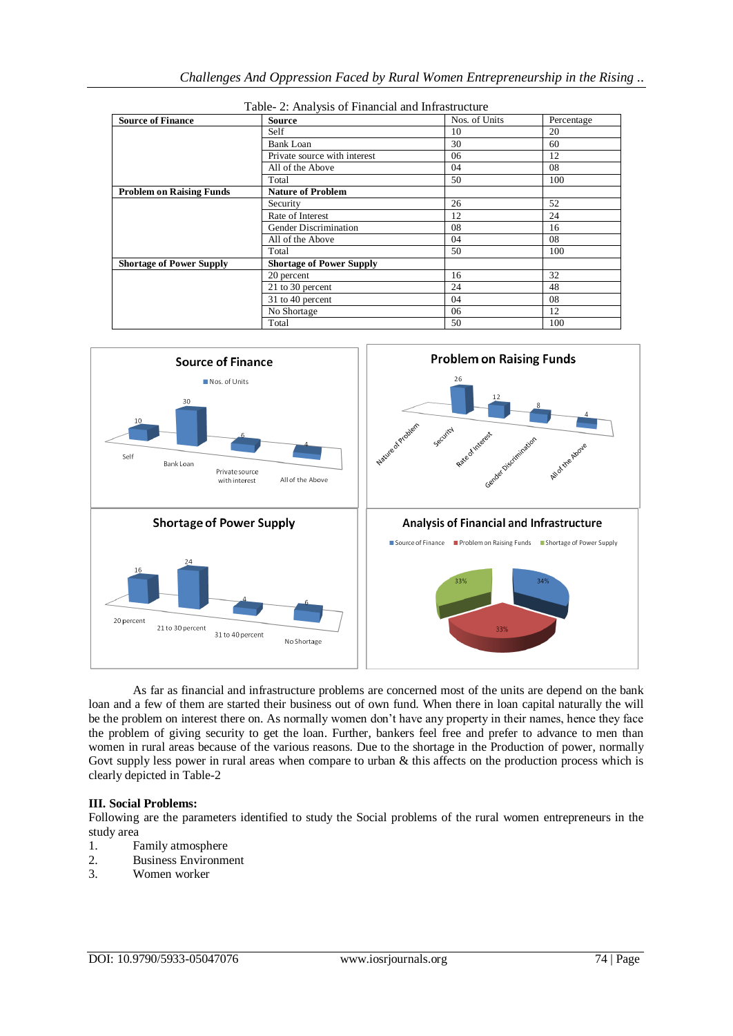| <b>Source of Finance</b>        | <b>Source</b>                   | Nos. of Units | Percentage |
|---------------------------------|---------------------------------|---------------|------------|
|                                 | Self                            | 10            | 20         |
|                                 | <b>Bank Loan</b>                | 30            | 60         |
|                                 | Private source with interest    | 06            | 12         |
|                                 | All of the Above                | 04            | 08         |
|                                 | Total                           | 50            | 100        |
| <b>Problem on Raising Funds</b> | <b>Nature of Problem</b>        |               |            |
|                                 | Security                        | 26            | 52         |
|                                 | Rate of Interest                | 12            | 24         |
|                                 | Gender Discrimination           | 08            | 16         |
|                                 | All of the Above                | 04            | 08         |
|                                 | Total                           | 50            | 100        |
| <b>Shortage of Power Supply</b> | <b>Shortage of Power Supply</b> |               |            |
|                                 | 20 percent                      | 16            | 32         |
|                                 | 21 to 30 percent                | 24            | 48         |
|                                 | 31 to 40 percent                | 04            | 08         |
|                                 | No Shortage                     | 06            | 12         |
|                                 | Total                           | 50            | 100        |





As far as financial and infrastructure problems are concerned most of the units are depend on the bank loan and a few of them are started their business out of own fund. When there in loan capital naturally the will be the problem on interest there on. As normally women don't have any property in their names, hence they face the problem of giving security to get the loan. Further, bankers feel free and prefer to advance to men than women in rural areas because of the various reasons. Due to the shortage in the Production of power, normally Govt supply less power in rural areas when compare to urban  $\&$  this affects on the production process which is clearly depicted in Table-2

# **III. Social Problems:**

Following are the parameters identified to study the Social problems of the rural women entrepreneurs in the study area

- 1. Family atmosphere
- 2. Business Environment
- 3. Women worker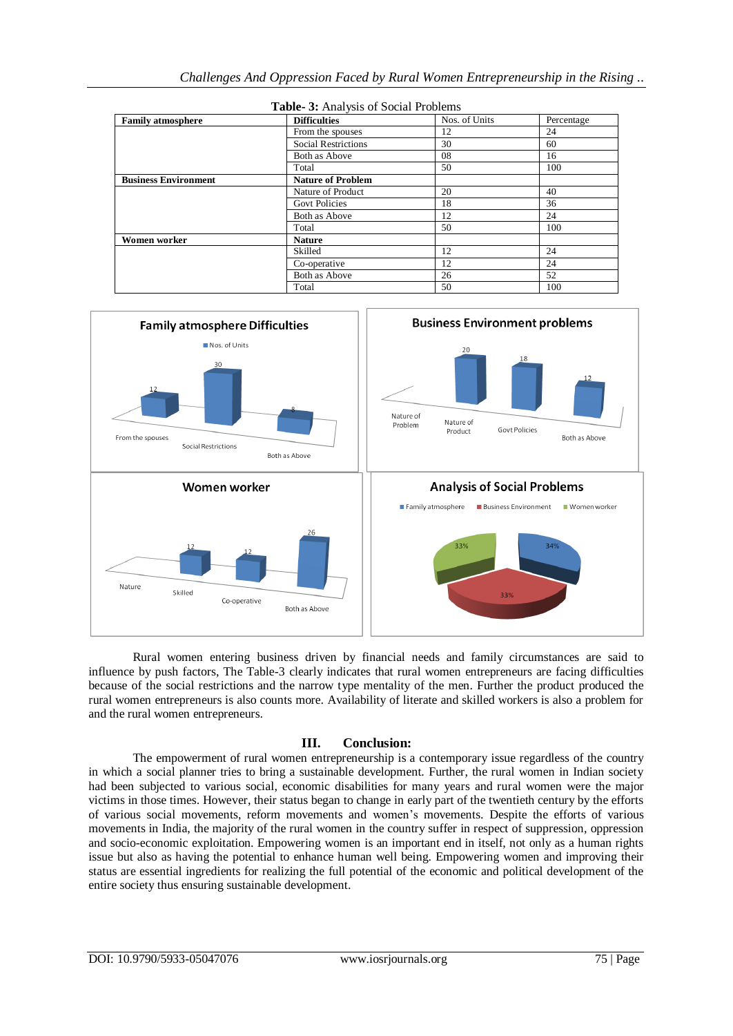| <b>Family atmosphere</b>    | <b>Difficulties</b>        | Nos. of Units | Percentage |
|-----------------------------|----------------------------|---------------|------------|
|                             | From the spouses           | 12            | 24         |
|                             | <b>Social Restrictions</b> | 30            | 60         |
|                             | Both as Above              | 08            | 16         |
|                             | Total                      | 50            | 100        |
| <b>Business Environment</b> | <b>Nature of Problem</b>   |               |            |
|                             | Nature of Product          | 20            | 40         |
|                             | <b>Govt Policies</b>       | 18            | 36         |
|                             | Both as Above              | 12            | 24         |
|                             | Total                      | 50            | 100        |
| Women worker                | <b>Nature</b>              |               |            |
|                             | Skilled                    | 12            | 24         |
|                             | Co-operative               | 12            | 24         |
|                             | Both as Above              | 26            | 52         |
|                             | Total                      | 50            | 100        |





Rural women entering business driven by financial needs and family circumstances are said to influence by push factors, The Table-3 clearly indicates that rural women entrepreneurs are facing difficulties because of the social restrictions and the narrow type mentality of the men. Further the product produced the rural women entrepreneurs is also counts more. Availability of literate and skilled workers is also a problem for and the rural women entrepreneurs.

# **III. Conclusion:**

The empowerment of rural women entrepreneurship is a contemporary issue regardless of the country in which a social planner tries to bring a sustainable development. Further, the rural women in Indian society had been subjected to various social, economic disabilities for many years and rural women were the major victims in those times. However, their status began to change in early part of the twentieth century by the efforts of various social movements, reform movements and women's movements. Despite the efforts of various movements in India, the majority of the rural women in the country suffer in respect of suppression, oppression and socio-economic exploitation. Empowering women is an important end in itself, not only as a human rights issue but also as having the potential to enhance human well being. Empowering women and improving their status are essential ingredients for realizing the full potential of the economic and political development of the entire society thus ensuring sustainable development.